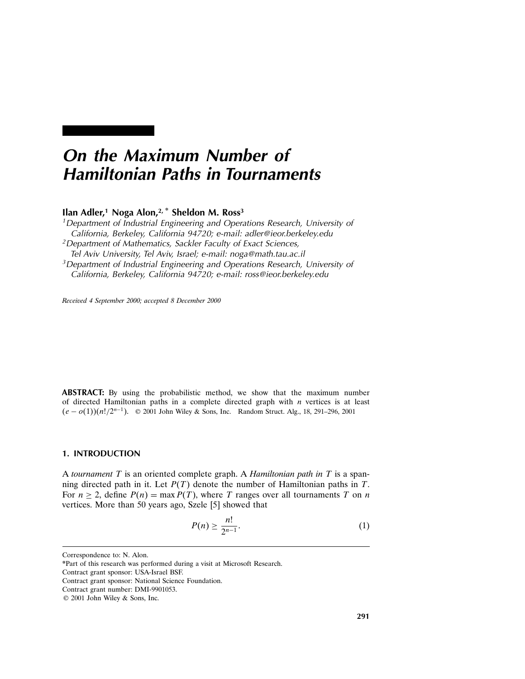# On the Maximum Number of Hamiltonian Paths in Tournaments

# Ilan Adler,<sup>1</sup> Noga Alon,<sup>2,\*</sup> Sheldon M. Ross<sup>3</sup>

<sup>1</sup>Department of Industrial Engineering and Operations Research, University of California, Berkeley, California 94720; e-mail: adler@ieor.berkeley.edu 2Department of Mathematics, Sackler Faculty of Exact Sciences, Tel Aviv University, Tel Aviv, Israel; e-mail: noga@math.tau.ac.il <sup>3</sup> Department of Industrial Engineering and Operations Research, University of California, Berkeley, California 94720; e-mail: ross@ieor.berkeley.edu

Received 4 September 2000; accepted 8 December 2000

ABSTRACT: By using the probabilistic method, we show that the maximum number of directed Hamiltonian paths in a complete directed graph with  $n$  vertices is at least  $(e - o(1))(n!/2^{n-1})$ . © 2001 John Wiley & Sons, Inc. Random Struct. Alg., 18, 291–296, 2001

# 1. INTRODUCTION

A tournament  $T$  is an oriented complete graph. A Hamiltonian path in  $T$  is a spanning directed path in it. Let  $P(T)$  denote the number of Hamiltonian paths in T. For  $n \ge 2$ , define  $P(n) = \max P(T)$ , where T ranges over all tournaments T on n vertices. More than 50 years ago, Szele [5] showed that

$$
P(n) \ge \frac{n!}{2^{n-1}}.\tag{1}
$$

Correspondence to: N. Alon.

<sup>\*</sup>Part of this research was performed during a visit at Microsoft Research.

Contract grant sponsor: USA-Israel BSF.

Contract grant sponsor: National Science Foundation.

Contract grant number: DMI-9901053.

<sup>© 2001</sup> John Wiley & Sons, Inc.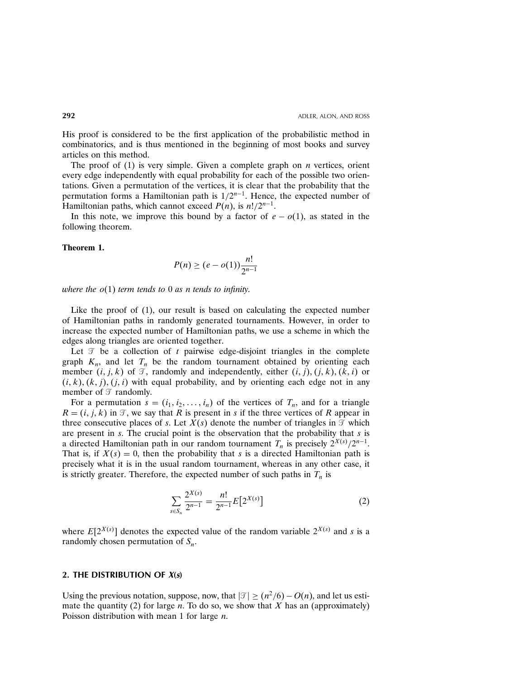His proof is considered to be the first application of the probabilistic method in combinatorics, and is thus mentioned in the beginning of most books and survey articles on this method.

The proof of  $(1)$  is very simple. Given a complete graph on *n* vertices, orient every edge independently with equal probability for each of the possible two orientations. Given a permutation of the vertices, it is clear that the probability that the permutation forms a Hamiltonian path is  $1/2^{n-1}$ . Hence, the expected number of Hamiltonian paths, which cannot exceed  $P(n)$ , is  $n!/2^{n-1}$ .

In this note, we improve this bound by a factor of  $e - o(1)$ , as stated in the following theorem.

#### Theorem 1.

$$
P(n) \ge (e - o(1)) \frac{n!}{2^{n-1}}
$$

where the  $o(1)$  term tends to 0 as n tends to infinity.

Like the proof of (1), our result is based on calculating the expected number of Hamiltonian paths in randomly generated tournaments. However, in order to increase the expected number of Hamiltonian paths, we use a scheme in which the edges along triangles are oriented together.

Let  $\mathcal T$  be a collection of t pairwise edge-disjoint triangles in the complete graph  $K_n$ , and let  $T_n$  be the random tournament obtained by orienting each member  $(i, j, k)$  of  $\mathcal{T}$ , randomly and independently, either  $(i, j)$ ,  $(j, k)$ ,  $(k, i)$  or  $(i, k), (k, j), (i, i)$  with equal probability, and by orienting each edge not in any member of  $\mathcal T$  randomly.

For a permutation  $s = (i_1, i_2, \ldots, i_n)$  of the vertices of  $T_n$ , and for a triangle  $R = (i, j, k)$  in  $\mathcal{T}$ , we say that R is present in s if the three vertices of R appear in three consecutive places of s. Let  $\overline{X}(s)$  denote the number of triangles in  $\overline{\mathcal{I}}$  which are present in s. The crucial point is the observation that the probability that s is a directed Hamiltonian path in our random tournament  $T_n$  is precisely  $2^{X(s)}/2^{n-1}$ . That is, if  $X(s) = 0$ , then the probability that s is a directed Hamiltonian path is precisely what it is in the usual random tournament, whereas in any other case, it is strictly greater. Therefore, the expected number of such paths in  $T_n$  is

$$
\sum_{s \in S_n} \frac{2^{X(s)}}{2^{n-1}} = \frac{n!}{2^{n-1}} E[2^{X(s)}]
$$
 (2)

where  $E[2^{X(s)}]$  denotes the expected value of the random variable  $2^{X(s)}$  and s is a randomly chosen permutation of  $S_n$ .

## 2. THE DISTRIBUTION OF  $X(s)$

Using the previous notation, suppose, now, that  $|\mathcal{F}| \ge (n^2/6) - O(n)$ , and let us estimate the quantity (2) for large n. To do so, we show that X has an (approximately) Poisson distribution with mean 1 for large  $n$ .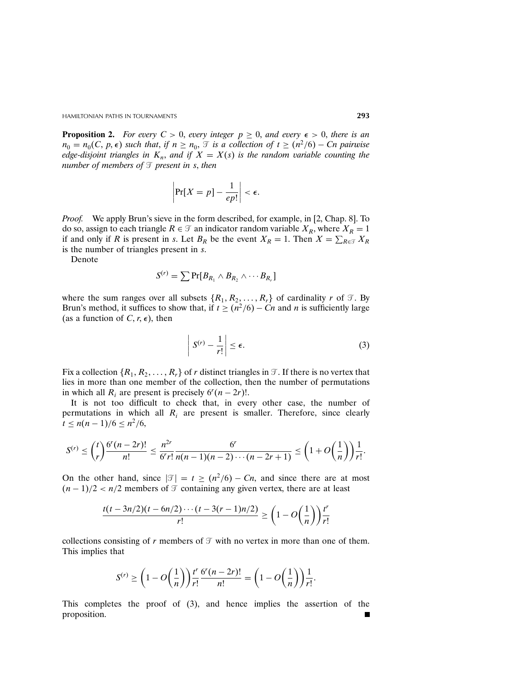**Proposition 2.** For every  $C > 0$ , every integer  $p \ge 0$ , and every  $\epsilon > 0$ , there is an  $n_0 = n_0(C, p, \epsilon)$  such that, if  $n \geq n_0$ ,  $\mathcal{T}$  is a collection of  $t \geq (n^2/6) - Cn$  pairwise edge-disjoint triangles in  $K_n$ , and if  $X = X(s)$  is the random variable counting the number of members of  $\mathcal I$  present in s, then

$$
\left|\Pr[X=p]-\frac{1}{ep!}\right|<\epsilon.
$$

*Proof.* We apply Brun's sieve in the form described, for example, in [2, Chap. 8]. To do so, assign to each triangle  $R \in \mathcal{T}$  an indicator random variable  $X_R$ , where  $X_R = 1$ if and only if R is present in s. Let  $B_R$  be the event  $X_R = 1$ . Then  $X = \sum_{R \in \mathcal{T}} X_R$ is the number of triangles present in s.

Denote

$$
S^{(r)} = \sum \Pr[B_{R_1} \wedge B_{R_2} \wedge \cdots B_{R_r}]
$$

where the sum ranges over all subsets  $\{R_1, R_2, \ldots, R_r\}$  of cardinality r of  $\mathcal{T}$ . By Brun's method, it suffices to show that, if  $t \geq (n^2/6) - Cn$  and n is sufficiently large (as a function of C,  $r, \epsilon$ ), then

$$
\left| S^{(r)} - \frac{1}{r!} \right| \le \epsilon. \tag{3}
$$

Fix a collection  $\{R_1, R_2, \ldots, R_r\}$  of r distinct triangles in  $\mathcal{T}$ . If there is no vertex that lies in more than one member of the collection, then the number of permutations in which all  $R_i$  are present is precisely  $6^r(n-2r)!$ .

It is not too difficult to check that, in every other case, the number of permutations in which all  $R_i$  are present is smaller. Therefore, since clearly  $t \leq n(n-1)/6 \leq n^2/6$ ,

$$
S^{(r)} \le {t \choose r} \frac{6^r (n-2r)!}{n!} \le \frac{n^{2r}}{6^r r!} \frac{6^r}{n(n-1)(n-2)\cdots(n-2r+1)} \le \left(1+O\left(\frac{1}{n}\right)\right) \frac{1}{r!}.
$$

On the other hand, since  $|\mathcal{T}| = t \ge (n^2/6) - Cn$ , and since there are at most  $(n-1)/2 < n/2$  members of  $\mathcal T$  containing any given vertex, there are at least

$$
\frac{t(t-3n/2)(t-6n/2)\cdots(t-3(r-1)n/2)}{r!}\geq \left(1-O\left(\frac{1}{n}\right)\right)\frac{t^r}{r!}
$$

collections consisting of r members of  $\mathcal T$  with no vertex in more than one of them. This implies that

$$
S^{(r)} \ge \left(1 - O\left(\frac{1}{n}\right)\right) \frac{t^r}{r!} \frac{6^r (n-2r)!}{n!} = \left(1 - O\left(\frac{1}{n}\right)\right) \frac{1}{r!}.
$$

This completes the proof of (3), and hence implies the assertion of the proposition.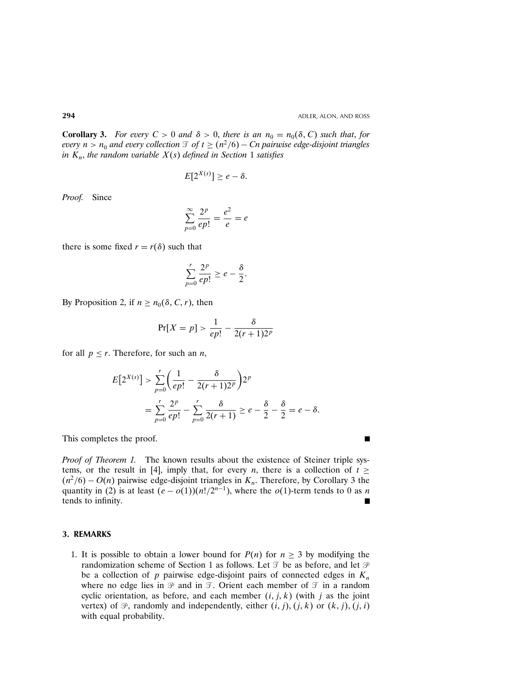$\blacksquare$ 

**Corollary 3.** For every  $C > 0$  and  $\delta > 0$ , there is an  $n_0 = n_0(\delta, C)$  such that, for every  $n>n_0$  and every collection  $\mathcal{T}$  of  $t \ge (n^2/6) - Cn$  pairwise edge-disjoint triangles in  $K_n$ , the random variable  $X(s)$  defined in Section 1 satisfies

$$
E[2^{X(s)}] \geq e - \delta.
$$

Proof. Since

$$
\sum_{p=0}^{\infty} \frac{2^p}{ep!} = \frac{e^2}{e} = e
$$

there is some fixed  $r = r(\delta)$  such that

$$
\sum_{p=0}^r \frac{2^p}{ep!} \ge e - \frac{\delta}{2}.
$$

By Proposition 2, if  $n \geq n_0(\delta, C, r)$ , then

$$
\Pr[X=p] > \frac{1}{ep!} - \frac{\delta}{2(r+1)2^p}
$$

for all  $p \leq r$ . Therefore, for such an *n*,

$$
E[2^{X(s)}] > \sum_{p=0}^{r} \left(\frac{1}{ep!} - \frac{\delta}{2(r+1)2^{p}}\right) 2^{p}
$$
  
= 
$$
\sum_{p=0}^{r} \frac{2^{p}}{ep!} - \sum_{p=0}^{r} \frac{\delta}{2(r+1)} \ge e - \frac{\delta}{2} - \frac{\delta}{2} = e - \delta.
$$

This completes the proof.

Proof of Theorem 1. The known results about the existence of Steiner triple systems, or the result in [4], imply that, for every *n*, there is a collection of  $t \ge$  $(n^2/6) - O(n)$  pairwise edge-disjoint triangles in  $K_n$ . Therefore, by Corollary 3 the quantity in (2) is at least  $(e - o(1))(n!/2^{n-1})$ , where the  $o(1)$ -term tends to 0 as n tends to infinity.

# 3. REMARKS

1. It is possible to obtain a lower bound for  $P(n)$  for  $n \geq 3$  by modifying the randomization scheme of Section 1 as follows. Let  $\mathcal T$  be as before, and let  $\mathcal P$ be a collection of p pairwise edge-disjoint pairs of connected edges in  $K_n$ where no edge lies in  $\mathcal P$  and in  $\mathcal T$ . Orient each member of  $\mathcal T$  in a random cyclic orientation, as before, and each member  $(i, j, k)$  (with j as the joint vertex) of  $\mathcal{P}$ , randomly and independently, either  $(i, j)$ ,  $(j, k)$  or  $(k, j)$ ,  $(j, i)$ with equal probability.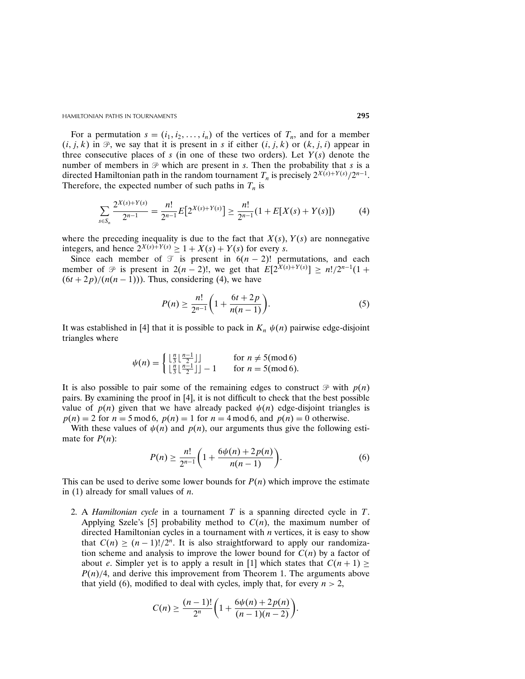$2X \times Y \times Z \times Y$ 

For a permutation  $s = (i_1, i_2, \dots, i_n)$  of the vertices of  $T_n$ , and for a member  $(i, j, k)$  in  $\mathcal{P}$ , we say that it is present in s if either  $(i, j, k)$  or  $(k, j, i)$  appear in three consecutive places of s (in one of these two orders). Let  $Y(s)$  denote the number of members in  $\mathcal{P}$  which are present in s. Then the probability that s is a directed Hamiltonian path in the random tournament  $T_n$  is precisely  $2^{X(s)+Y(s)}/2^{n-1}$ . Therefore, the expected number of such paths in  $T_n$  is

$$
\sum_{s \in S_n} \frac{2^{X(s) + Y(s)}}{2^{n-1}} = \frac{n!}{2^{n-1}} E[2^{X(s) + Y(s)}] \ge \frac{n!}{2^{n-1}} (1 + E[X(s) + Y(s)]) \tag{4}
$$

where the preceding inequality is due to the fact that  $X(s)$ ,  $Y(s)$  are nonnegative integers, and hence  $2^{X(s)+Y(s)} \geq 1+X(s)+Y(s)$  for every s.

Since each member of  $\mathcal T$  is present in  $6(n-2)!$  permutations, and each member of  $\mathcal{P}$  is present in 2(n – 2)!, we get that  $E[2^{X(s)+Y(s)}] \ge n!/2^{n-1}(1+$  $(6t + 2p)/(n(n - 1))$ . Thus, considering (4), we have

$$
P(n) \ge \frac{n!}{2^{n-1}} \left( 1 + \frac{6t + 2p}{n(n-1)} \right). \tag{5}
$$

It was established in [4] that it is possible to pack in  $K_n \psi(n)$  pairwise edge-disjoint triangles where

$$
\psi(n) = \begin{cases} \lfloor \frac{n}{3} \lfloor \frac{n-1}{2} \rfloor & \text{for } n \neq 5 \text{ (mod 6)}\\ \lfloor \frac{n}{3} \lfloor \frac{n-1}{2} \rfloor \rfloor - 1 & \text{for } n = 5 \text{ (mod 6)} \end{cases}
$$

It is also possible to pair some of the remaining edges to construct  $\mathcal{P}$  with  $p(n)$ pairs. By examining the proof in [4], it is not difficult to check that the best possible value of  $p(n)$  given that we have already packed  $\psi(n)$  edge-disjoint triangles is  $p(n) = 2$  for  $n = 5 \mod 6$ ,  $p(n) = 1$  for  $n = 4 \mod 6$ , and  $p(n) = 0$  otherwise.

With these values of  $\psi(n)$  and  $p(n)$ , our arguments thus give the following estimate for  $P(n)$ :

$$
P(n) \ge \frac{n!}{2^{n-1}} \bigg( 1 + \frac{6\psi(n) + 2p(n)}{n(n-1)} \bigg). \tag{6}
$$

This can be used to derive some lower bounds for  $P(n)$  which improve the estimate in (1) already for small values of  $n$ .

2. A *Hamiltonian cycle* in a tournament  $T$  is a spanning directed cycle in  $T$ . Applying Szele's [5] probability method to  $C(n)$ , the maximum number of directed Hamiltonian cycles in a tournament with  $n$  vertices, it is easy to show that  $C(n) \ge (n-1)!/2^n$ . It is also straightforward to apply our randomization scheme and analysis to improve the lower bound for  $C(n)$  by a factor of about e. Simpler yet is to apply a result in [1] which states that  $C(n + 1) \ge$  $P(n)/4$ , and derive this improvement from Theorem 1. The arguments above that yield (6), modified to deal with cycles, imply that, for every  $n > 2$ ,

$$
C(n) \ge \frac{(n-1)!}{2^n} \bigg( 1 + \frac{6\psi(n) + 2p(n)}{(n-1)(n-2)} \bigg).
$$